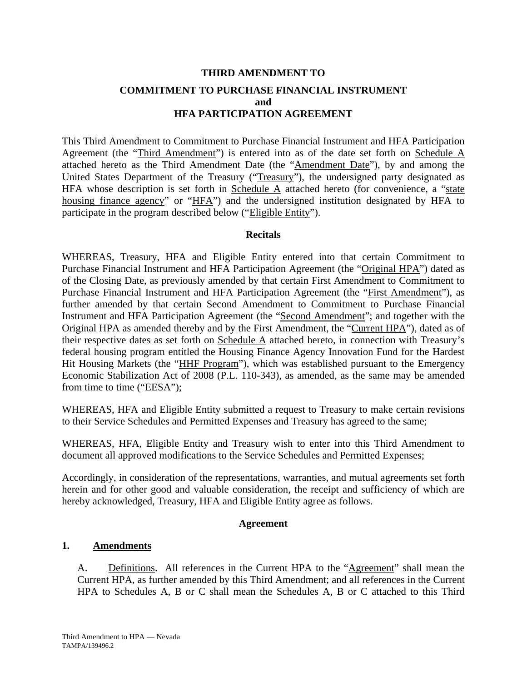# **THIRD AMENDMENT TO COMMITMENT TO PURCHASE FINANCIAL INSTRUMENT and HFA PARTICIPATION AGREEMENT**

This Third Amendment to Commitment to Purchase Financial Instrument and HFA Participation Agreement (the "Third Amendment") is entered into as of the date set forth on Schedule A attached hereto as the Third Amendment Date (the "Amendment Date"), by and among the United States Department of the Treasury ("Treasury"), the undersigned party designated as HFA whose description is set forth in Schedule  $\overline{A}$  attached hereto (for convenience, a "state housing finance agency" or "HFA") and the undersigned institution designated by HFA to participate in the program described below ("Eligible Entity").

## **Recitals**

WHEREAS, Treasury, HFA and Eligible Entity entered into that certain Commitment to Purchase Financial Instrument and HFA Participation Agreement (the "Original HPA") dated as of the Closing Date, as previously amended by that certain First Amendment to Commitment to Purchase Financial Instrument and HFA Participation Agreement (the "First Amendment"), as further amended by that certain Second Amendment to Commitment to Purchase Financial Instrument and HFA Participation Agreement (the "Second Amendment"; and together with the Original HPA as amended thereby and by the First Amendment, the "Current HPA"), dated as of their respective dates as set forth on Schedule A attached hereto, in connection with Treasury's federal housing program entitled the Housing Finance Agency Innovation Fund for the Hardest Hit Housing Markets (the "HHF Program"), which was established pursuant to the Emergency Economic Stabilization Act of 2008 (P.L. 110-343), as amended, as the same may be amended from time to time (" $EESA$ ");

WHEREAS, HFA and Eligible Entity submitted a request to Treasury to make certain revisions to their Service Schedules and Permitted Expenses and Treasury has agreed to the same;

WHEREAS, HFA, Eligible Entity and Treasury wish to enter into this Third Amendment to document all approved modifications to the Service Schedules and Permitted Expenses;

Accordingly, in consideration of the representations, warranties, and mutual agreements set forth herein and for other good and valuable consideration, the receipt and sufficiency of which are hereby acknowledged, Treasury, HFA and Eligible Entity agree as follows.

## **Agreement**

## **1. Amendments**

A. Definitions. All references in the Current HPA to the "Agreement" shall mean the Current HPA, as further amended by this Third Amendment; and all references in the Current HPA to Schedules A, B or C shall mean the Schedules A, B or C attached to this Third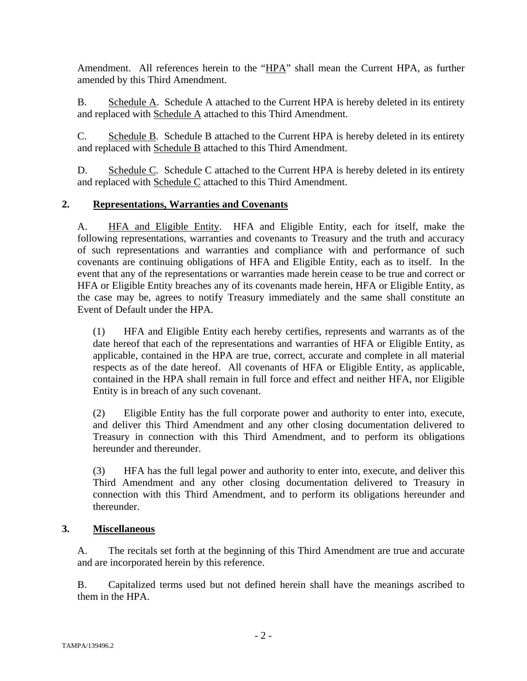Amendment. All references herein to the "HPA" shall mean the Current HPA, as further amended by this Third Amendment.

B. Schedule A. Schedule A attached to the Current HPA is hereby deleted in its entirety and replaced with Schedule A attached to this Third Amendment.

C. Schedule B. Schedule B attached to the Current HPA is hereby deleted in its entirety and replaced with Schedule B attached to this Third Amendment.

D. Schedule C. Schedule C attached to the Current HPA is hereby deleted in its entirety and replaced with Schedule C attached to this Third Amendment.

## **2. Representations, Warranties and Covenants**

A. HFA and Eligible Entity. HFA and Eligible Entity, each for itself, make the following representations, warranties and covenants to Treasury and the truth and accuracy of such representations and warranties and compliance with and performance of such covenants are continuing obligations of HFA and Eligible Entity, each as to itself. In the event that any of the representations or warranties made herein cease to be true and correct or HFA or Eligible Entity breaches any of its covenants made herein, HFA or Eligible Entity, as the case may be, agrees to notify Treasury immediately and the same shall constitute an Event of Default under the HPA.

(1) HFA and Eligible Entity each hereby certifies, represents and warrants as of the date hereof that each of the representations and warranties of HFA or Eligible Entity, as applicable, contained in the HPA are true, correct, accurate and complete in all material respects as of the date hereof. All covenants of HFA or Eligible Entity, as applicable, contained in the HPA shall remain in full force and effect and neither HFA, nor Eligible Entity is in breach of any such covenant.

(2) Eligible Entity has the full corporate power and authority to enter into, execute, and deliver this Third Amendment and any other closing documentation delivered to Treasury in connection with this Third Amendment, and to perform its obligations hereunder and thereunder.

(3) HFA has the full legal power and authority to enter into, execute, and deliver this Third Amendment and any other closing documentation delivered to Treasury in connection with this Third Amendment, and to perform its obligations hereunder and thereunder.

## **3. Miscellaneous**

A. The recitals set forth at the beginning of this Third Amendment are true and accurate and are incorporated herein by this reference.

B. Capitalized terms used but not defined herein shall have the meanings ascribed to them in the HPA.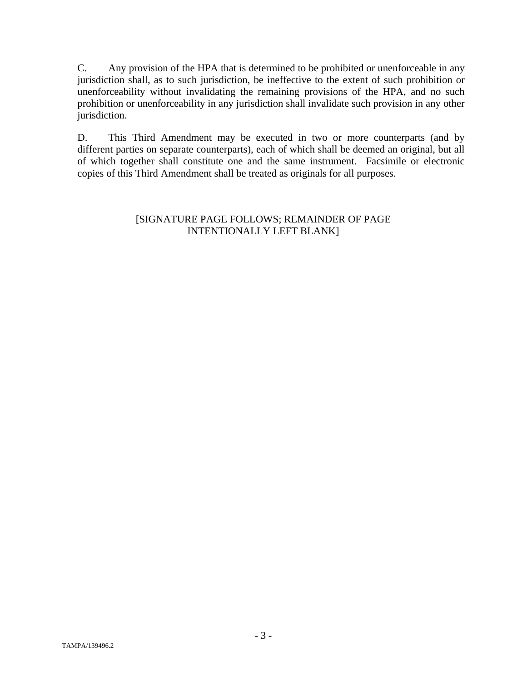C. Any provision of the HPA that is determined to be prohibited or unenforceable in any jurisdiction shall, as to such jurisdiction, be ineffective to the extent of such prohibition or unenforceability without invalidating the remaining provisions of the HPA, and no such prohibition or unenforceability in any jurisdiction shall invalidate such provision in any other jurisdiction.

D. This Third Amendment may be executed in two or more counterparts (and by different parties on separate counterparts), each of which shall be deemed an original, but all of which together shall constitute one and the same instrument. Facsimile or electronic copies of this Third Amendment shall be treated as originals for all purposes.

## [SIGNATURE PAGE FOLLOWS; REMAINDER OF PAGE INTENTIONALLY LEFT BLANK]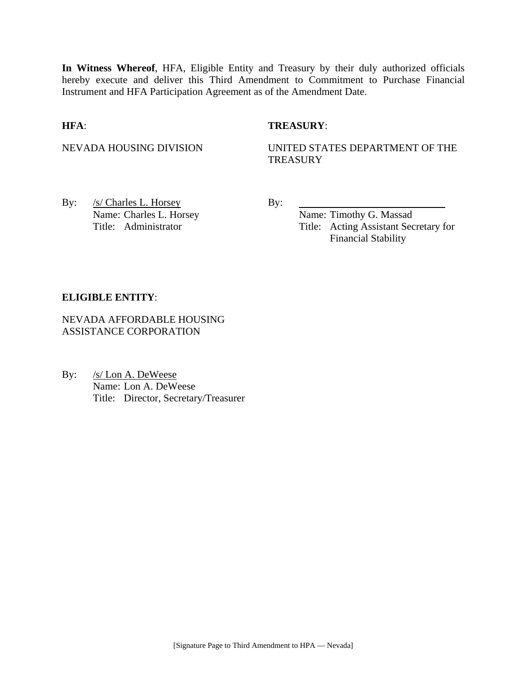**In Witness Whereof**, HFA, Eligible Entity and Treasury by their duly authorized officials hereby execute and deliver this Third Amendment to Commitment to Purchase Financial Instrument and HFA Participation Agreement as of the Amendment Date.

#### **HFA**: **TREASURY**:

## NEVADA HOUSING DIVISION UNITED STATES DEPARTMENT OF THE **TREASURY**

By: <u>/s/ Charles L. Horsey</u> By: Name: Charles L. Horsey Name: Timothy G. Massad

Title: Administrator Title: Acting Assistant Secretary for Financial Stability

#### **ELIGIBLE ENTITY**:

NEVADA AFFORDABLE HOUSING ASSISTANCE CORPORATION

By: /s/ Lon A. DeWeese Name: Lon A. DeWeese Title: Director, Secretary/Treasurer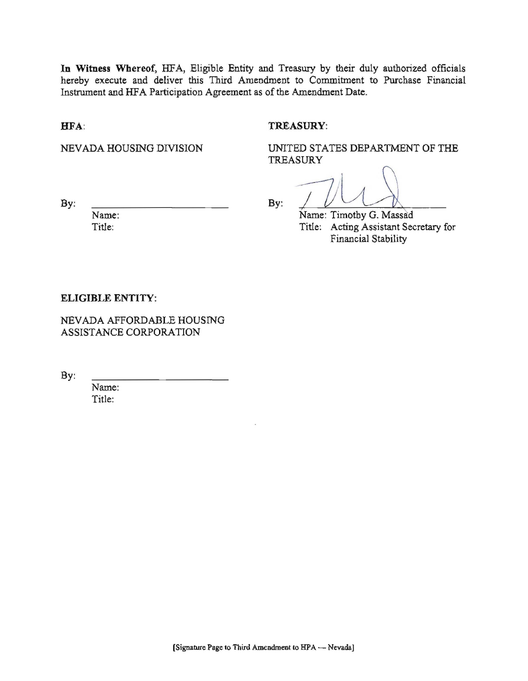In Witness Whereof, HFA, Eligible Entity and Treasury by their duly authorized officials hereby execute and deliver this Third Amendment to Commitment to Purchase Financial Instrument and HFA Participation Agreement as of the Amendment Date.

HFA:

#### TREASURY:

NEVADA HOUSING DIVISION

UNITED STATES DEPARTMENT OF THE **TREASURY** 

By:

Name: Title:

By:

Name: Timothy G. Massad Title: Acting Assistant Secretary for Financial Stability

#### **ELIGIBLE ENTITY:**

NEVADA AFFORDABLE HOUSING ASSISTANCE CORPORATION

By:

Name: Title: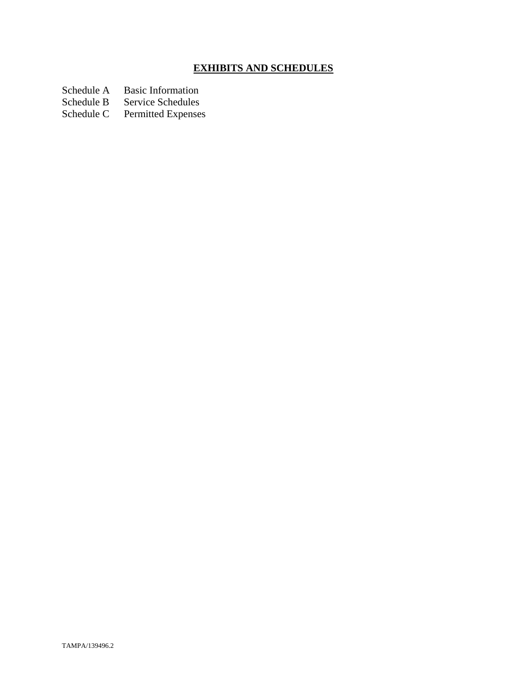# **EXHIBITS AND SCHEDULES**

Schedule A Basic Information<br>Schedule B Service Schedules

Schedule B Service Schedules<br>Schedule C Permitted Expenses

Permitted Expenses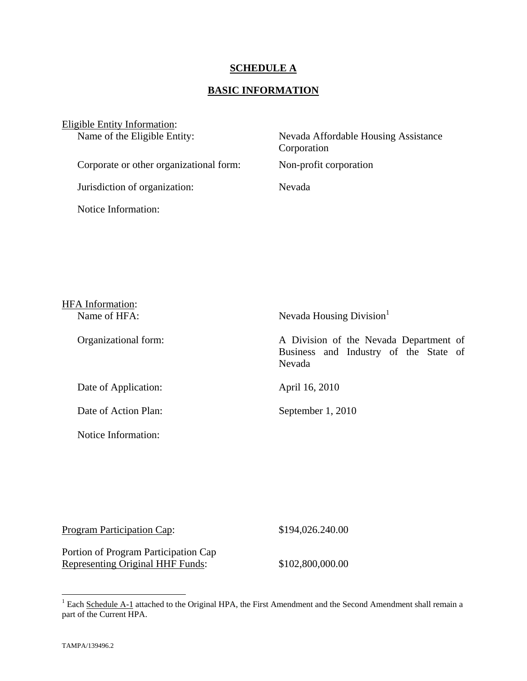## **SCHEDULE A**

# **BASIC INFORMATION**

| Eligible Entity Information:<br>Name of the Eligible Entity: | Nevada Affordable Housing Assistance<br>Corporation |  |
|--------------------------------------------------------------|-----------------------------------------------------|--|
| Corporate or other organizational form:                      | Non-profit corporation                              |  |
| Jurisdiction of organization:                                | Nevada                                              |  |
| Notice Information:                                          |                                                     |  |
|                                                              |                                                     |  |

| <b>HFA</b> Information:<br>Name of HFA: | Nevada Housing Division                                                                   |
|-----------------------------------------|-------------------------------------------------------------------------------------------|
| Organizational form:                    | A Division of the Nevada Department of<br>Business and Industry of the State of<br>Nevada |
| Date of Application:                    | April 16, 2010                                                                            |
| Date of Action Plan:                    | September 1, 2010                                                                         |
| Notice Information:                     |                                                                                           |

Program Participation Cap: \$194,026.240.00

Portion of Program Participation Cap Representing Original HHF Funds: \$102,800,000.00

<sup>&</sup>lt;sup>1</sup> Each Schedule A-1 attached to the Original HPA, the First Amendment and the Second Amendment shall remain a part of the Current HPA.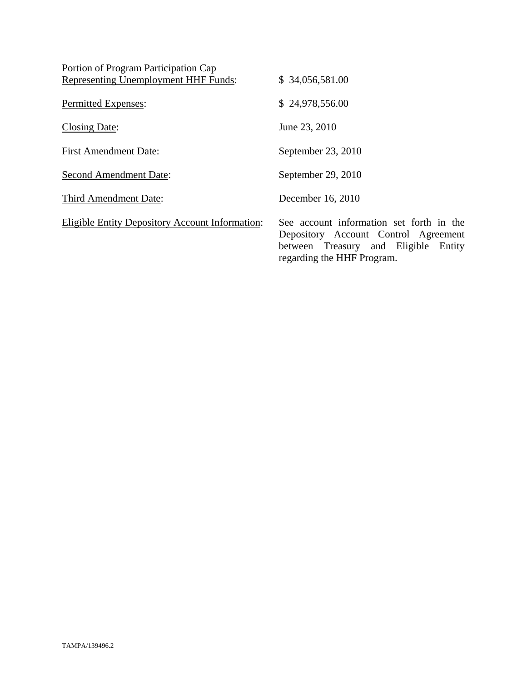| Portion of Program Participation Cap                   |                                                                                                                                                        |
|--------------------------------------------------------|--------------------------------------------------------------------------------------------------------------------------------------------------------|
| Representing Unemployment HHF Funds:                   | \$34,056,581.00                                                                                                                                        |
| Permitted Expenses:                                    | \$24,978,556.00                                                                                                                                        |
| Closing Date:                                          | June 23, 2010                                                                                                                                          |
| <b>First Amendment Date:</b>                           | September 23, 2010                                                                                                                                     |
| <b>Second Amendment Date:</b>                          | September 29, 2010                                                                                                                                     |
| Third Amendment Date:                                  | December 16, 2010                                                                                                                                      |
| <b>Eligible Entity Depository Account Information:</b> | See account information set forth in the<br>Depository Account Control Agreement<br>between Treasury and Eligible Entity<br>regarding the HHF Program. |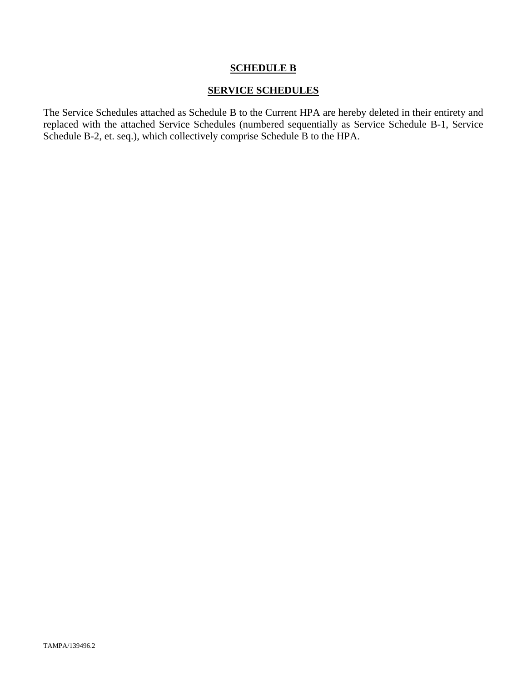## **SCHEDULE B**

## **SERVICE SCHEDULES**

The Service Schedules attached as Schedule B to the Current HPA are hereby deleted in their entirety and replaced with the attached Service Schedules (numbered sequentially as Service Schedule B-1, Service Schedule B-2, et. seq.), which collectively comprise Schedule B to the HPA.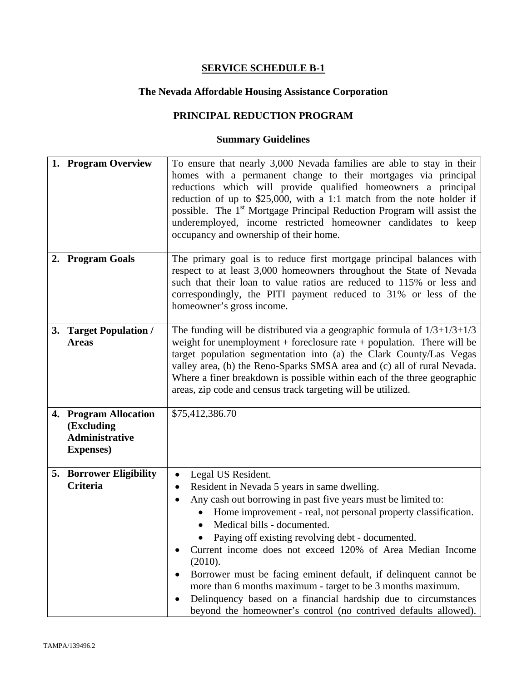# **The Nevada Affordable Housing Assistance Corporation**

# **PRINCIPAL REDUCTION PROGRAM**

| 1. Program Overview                                                               | To ensure that nearly 3,000 Nevada families are able to stay in their<br>homes with a permanent change to their mortgages via principal<br>reductions which will provide qualified homeowners a principal<br>reduction of up to $$25,000$ , with a 1:1 match from the note holder if<br>possible. The 1 <sup>st</sup> Mortgage Principal Reduction Program will assist the<br>underemployed, income restricted homeowner candidates to keep<br>occupancy and ownership of their home.                                                                                                                                                                      |
|-----------------------------------------------------------------------------------|------------------------------------------------------------------------------------------------------------------------------------------------------------------------------------------------------------------------------------------------------------------------------------------------------------------------------------------------------------------------------------------------------------------------------------------------------------------------------------------------------------------------------------------------------------------------------------------------------------------------------------------------------------|
| 2. Program Goals                                                                  | The primary goal is to reduce first mortgage principal balances with<br>respect to at least 3,000 homeowners throughout the State of Nevada<br>such that their loan to value ratios are reduced to 115% or less and<br>correspondingly, the PITI payment reduced to 31% or less of the<br>homeowner's gross income.                                                                                                                                                                                                                                                                                                                                        |
| 3. Target Population /<br><b>Areas</b>                                            | The funding will be distributed via a geographic formula of $1/3+1/3+1/3$<br>weight for unemployment $+$ foreclosure rate $+$ population. There will be<br>target population segmentation into (a) the Clark County/Las Vegas<br>valley area, (b) the Reno-Sparks SMSA area and (c) all of rural Nevada.<br>Where a finer breakdown is possible within each of the three geographic<br>areas, zip code and census track targeting will be utilized.                                                                                                                                                                                                        |
| 4. Program Allocation<br>(Excluding<br><b>Administrative</b><br><b>Expenses</b> ) | \$75,412,386.70                                                                                                                                                                                                                                                                                                                                                                                                                                                                                                                                                                                                                                            |
| <b>5. Borrower Eligibility</b><br>Criteria                                        | Legal US Resident.<br>$\bullet$<br>Resident in Nevada 5 years in same dwelling.<br>٠<br>Any cash out borrowing in past five years must be limited to:<br>Home improvement - real, not personal property classification.<br>Medical bills - documented.<br>Paying off existing revolving debt - documented.<br>Current income does not exceed 120% of Area Median Income<br>(2010).<br>Borrower must be facing eminent default, if delinquent cannot be<br>more than 6 months maximum - target to be 3 months maximum.<br>Delinquency based on a financial hardship due to circumstances<br>beyond the homeowner's control (no contrived defaults allowed). |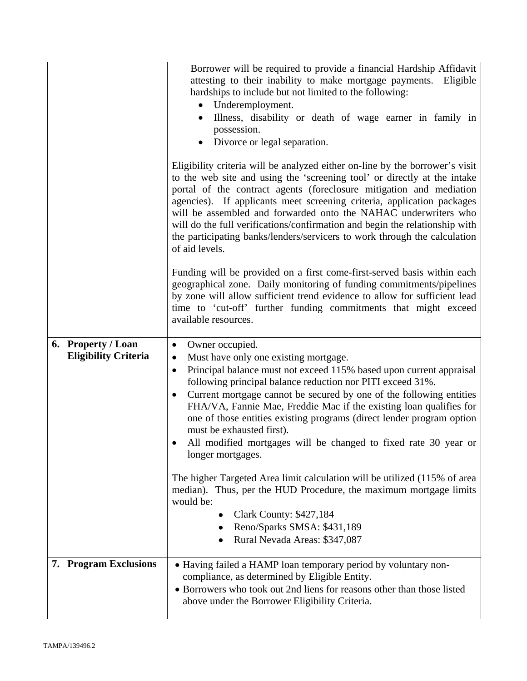|                                                   | Borrower will be required to provide a financial Hardship Affidavit<br>attesting to their inability to make mortgage payments.<br>Eligible<br>hardships to include but not limited to the following:<br>Underemployment.<br>$\bullet$<br>Illness, disability or death of wage earner in family in<br>possession.<br>Divorce or legal separation.                                                                                                                                                                                                                                                                                                                          |
|---------------------------------------------------|---------------------------------------------------------------------------------------------------------------------------------------------------------------------------------------------------------------------------------------------------------------------------------------------------------------------------------------------------------------------------------------------------------------------------------------------------------------------------------------------------------------------------------------------------------------------------------------------------------------------------------------------------------------------------|
|                                                   | Eligibility criteria will be analyzed either on-line by the borrower's visit<br>to the web site and using the 'screening tool' or directly at the intake<br>portal of the contract agents (foreclosure mitigation and mediation<br>agencies). If applicants meet screening criteria, application packages<br>will be assembled and forwarded onto the NAHAC underwriters who<br>will do the full verifications/confirmation and begin the relationship with<br>the participating banks/lenders/servicers to work through the calculation<br>of aid levels.                                                                                                                |
|                                                   | Funding will be provided on a first come-first-served basis within each<br>geographical zone. Daily monitoring of funding commitments/pipelines<br>by zone will allow sufficient trend evidence to allow for sufficient lead<br>time to 'cut-off' further funding commitments that might exceed<br>available resources.                                                                                                                                                                                                                                                                                                                                                   |
| 6. Property / Loan<br><b>Eligibility Criteria</b> | Owner occupied.<br>$\bullet$<br>Must have only one existing mortgage.<br>$\bullet$<br>Principal balance must not exceed 115% based upon current appraisal<br>$\bullet$<br>following principal balance reduction nor PITI exceed 31%.<br>Current mortgage cannot be secured by one of the following entities<br>$\bullet$<br>FHA/VA, Fannie Mae, Freddie Mac if the existing loan qualifies for<br>one of those entities existing programs (direct lender program option<br>must be exhausted first).<br>All modified mortgages will be changed to fixed rate 30 year or<br>longer mortgages.<br>The higher Targeted Area limit calculation will be utilized (115% of area |
|                                                   | median). Thus, per the HUD Procedure, the maximum mortgage limits<br>would be:<br><b>Clark County: \$427,184</b><br>Reno/Sparks SMSA: \$431,189<br>Rural Nevada Areas: \$347,087                                                                                                                                                                                                                                                                                                                                                                                                                                                                                          |
| 7. Program Exclusions                             | • Having failed a HAMP loan temporary period by voluntary non-<br>compliance, as determined by Eligible Entity.<br>• Borrowers who took out 2nd liens for reasons other than those listed<br>above under the Borrower Eligibility Criteria.                                                                                                                                                                                                                                                                                                                                                                                                                               |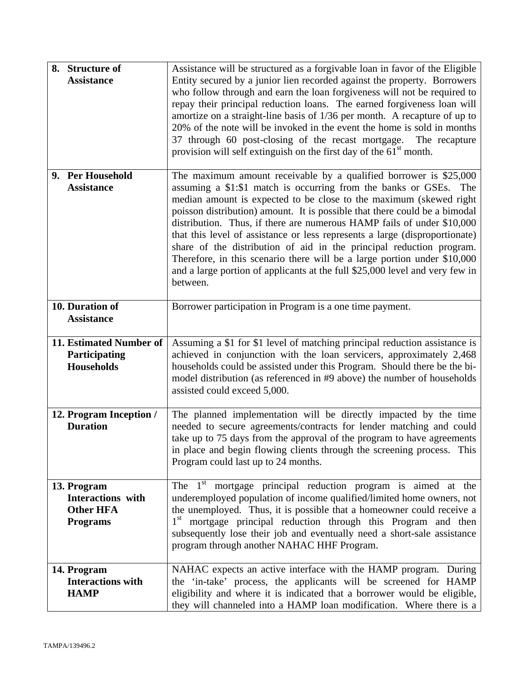| 8. Structure of<br><b>Assistance</b>                                    | Assistance will be structured as a forgivable loan in favor of the Eligible<br>Entity secured by a junior lien recorded against the property. Borrowers<br>who follow through and earn the loan forgiveness will not be required to<br>repay their principal reduction loans. The earned forgiveness loan will<br>amortize on a straight-line basis of 1/36 per month. A recapture of up to<br>20% of the note will be invoked in the event the home is sold in months<br>37 through 60 post-closing of the recast mortgage.<br>The recapture<br>provision will self extinguish on the first day of the 61 <sup>st</sup> month.                                                                      |
|-------------------------------------------------------------------------|------------------------------------------------------------------------------------------------------------------------------------------------------------------------------------------------------------------------------------------------------------------------------------------------------------------------------------------------------------------------------------------------------------------------------------------------------------------------------------------------------------------------------------------------------------------------------------------------------------------------------------------------------------------------------------------------------|
| 9. Per Household<br><b>Assistance</b>                                   | The maximum amount receivable by a qualified borrower is $$25,000$<br>assuming a \$1:\$1 match is occurring from the banks or GSEs. The<br>median amount is expected to be close to the maximum (skewed right<br>poisson distribution) amount. It is possible that there could be a bimodal<br>distribution. Thus, if there are numerous HAMP fails of under \$10,000<br>that this level of assistance or less represents a large (disproportionate)<br>share of the distribution of aid in the principal reduction program.<br>Therefore, in this scenario there will be a large portion under \$10,000<br>and a large portion of applicants at the full \$25,000 level and very few in<br>between. |
| 10. Duration of<br><b>Assistance</b>                                    | Borrower participation in Program is a one time payment.                                                                                                                                                                                                                                                                                                                                                                                                                                                                                                                                                                                                                                             |
| 11. Estimated Number of<br>Participating<br><b>Households</b>           | Assuming a \$1 for \$1 level of matching principal reduction assistance is<br>achieved in conjunction with the loan servicers, approximately 2,468<br>households could be assisted under this Program. Should there be the bi-<br>model distribution (as referenced in #9 above) the number of households<br>assisted could exceed 5,000.                                                                                                                                                                                                                                                                                                                                                            |
| 12. Program Inception /<br><b>Duration</b>                              | The planned implementation will be directly impacted by the time<br>needed to secure agreements/contracts for lender matching and could<br>take up to 75 days from the approval of the program to have agreements<br>in place and begin flowing clients through the screening process. This<br>Program could last up to 24 months.                                                                                                                                                                                                                                                                                                                                                                   |
| 13. Program<br>Interactions with<br><b>Other HFA</b><br><b>Programs</b> | The $1st$ mortgage principal reduction program is aimed at the<br>underemployed population of income qualified/limited home owners, not<br>the unemployed. Thus, it is possible that a homeowner could receive a<br>1 <sup>st</sup><br>mortgage principal reduction through this Program and then<br>subsequently lose their job and eventually need a short-sale assistance<br>program through another NAHAC HHF Program.                                                                                                                                                                                                                                                                           |
| 14. Program<br><b>Interactions with</b><br><b>HAMP</b>                  | NAHAC expects an active interface with the HAMP program. During<br>the 'in-take' process, the applicants will be screened for HAMP<br>eligibility and where it is indicated that a borrower would be eligible,<br>they will channeled into a HAMP loan modification. Where there is a                                                                                                                                                                                                                                                                                                                                                                                                                |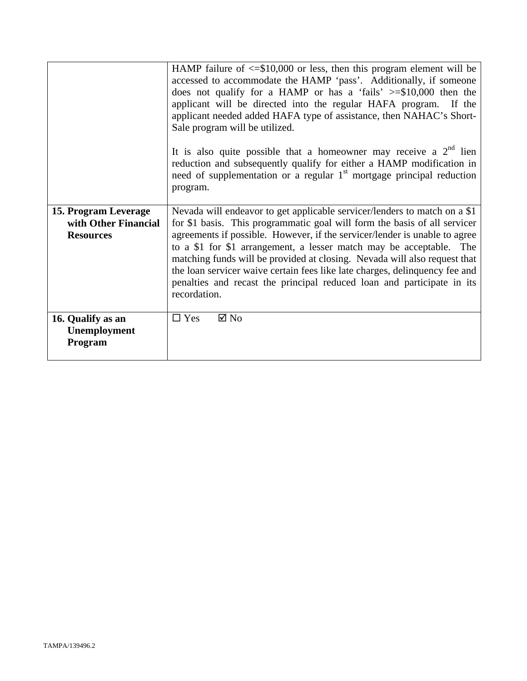|                                                                  | HAMP failure of $\leq$ \$10,000 or less, then this program element will be<br>accessed to accommodate the HAMP 'pass'. Additionally, if someone<br>does not qualify for a HAMP or has a 'fails' $\ge$ =\$10,000 then the<br>applicant will be directed into the regular HAFA program. If the<br>applicant needed added HAFA type of assistance, then NAHAC's Short-<br>Sale program will be utilized.<br>It is also quite possible that a homeowner may receive a $2nd$ lien<br>reduction and subsequently qualify for either a HAMP modification in<br>need of supplementation or a regular 1 <sup>st</sup> mortgage principal reduction<br>program. |
|------------------------------------------------------------------|-------------------------------------------------------------------------------------------------------------------------------------------------------------------------------------------------------------------------------------------------------------------------------------------------------------------------------------------------------------------------------------------------------------------------------------------------------------------------------------------------------------------------------------------------------------------------------------------------------------------------------------------------------|
| 15. Program Leverage<br>with Other Financial<br><b>Resources</b> | Nevada will endeavor to get applicable servicer/lenders to match on a \$1<br>for \$1 basis. This programmatic goal will form the basis of all servicer<br>agreements if possible. However, if the servicer/lender is unable to agree<br>to a \$1 for \$1 arrangement, a lesser match may be acceptable. The<br>matching funds will be provided at closing. Nevada will also request that<br>the loan servicer waive certain fees like late charges, delinquency fee and<br>penalties and recast the principal reduced loan and participate in its<br>recordation.                                                                                     |
| 16. Qualify as an<br>Unemployment<br>Program                     | $\Box$ Yes<br>$\boxtimes$ No                                                                                                                                                                                                                                                                                                                                                                                                                                                                                                                                                                                                                          |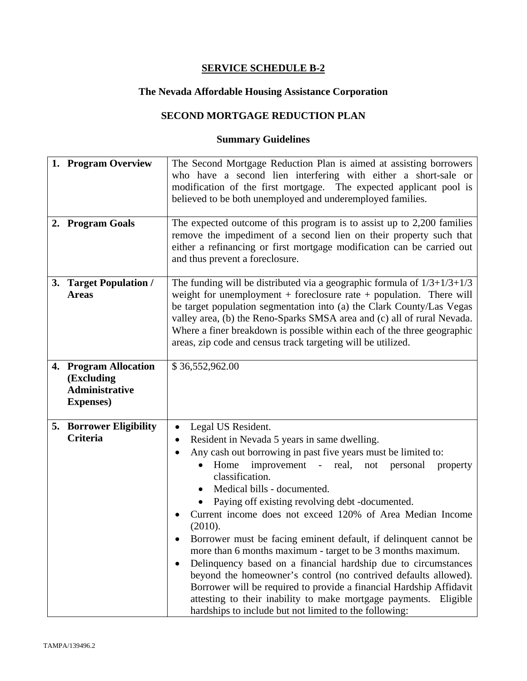# **The Nevada Affordable Housing Assistance Corporation**

# **SECOND MORTGAGE REDUCTION PLAN**

| 1. Program Overview<br>2. Program Goals                                           | The Second Mortgage Reduction Plan is aimed at assisting borrowers<br>who have a second lien interfering with either a short-sale or<br>modification of the first mortgage. The expected applicant pool is<br>believed to be both unemployed and underemployed families.<br>The expected outcome of this program is to assist up to $2,200$ families                                                                                                                                                                                                                                                                                                                                                                                                                                                                                                                                              |
|-----------------------------------------------------------------------------------|---------------------------------------------------------------------------------------------------------------------------------------------------------------------------------------------------------------------------------------------------------------------------------------------------------------------------------------------------------------------------------------------------------------------------------------------------------------------------------------------------------------------------------------------------------------------------------------------------------------------------------------------------------------------------------------------------------------------------------------------------------------------------------------------------------------------------------------------------------------------------------------------------|
|                                                                                   | remove the impediment of a second lien on their property such that<br>either a refinancing or first mortgage modification can be carried out<br>and thus prevent a foreclosure.                                                                                                                                                                                                                                                                                                                                                                                                                                                                                                                                                                                                                                                                                                                   |
| 3. Target Population /<br><b>Areas</b>                                            | The funding will be distributed via a geographic formula of $1/3+1/3+1/3$<br>weight for unemployment $+$ foreclosure rate $+$ population. There will<br>be target population segmentation into (a) the Clark County/Las Vegas<br>valley area, (b) the Reno-Sparks SMSA area and (c) all of rural Nevada.<br>Where a finer breakdown is possible within each of the three geographic<br>areas, zip code and census track targeting will be utilized.                                                                                                                                                                                                                                                                                                                                                                                                                                               |
| 4. Program Allocation<br>(Excluding<br><b>Administrative</b><br><b>Expenses</b> ) | \$36,552,962.00                                                                                                                                                                                                                                                                                                                                                                                                                                                                                                                                                                                                                                                                                                                                                                                                                                                                                   |
| <b>5. Borrower Eligibility</b><br><b>Criteria</b>                                 | Legal US Resident.<br>$\bullet$<br>Resident in Nevada 5 years in same dwelling.<br>٠<br>Any cash out borrowing in past five years must be limited to:<br>improvement - real, not personal<br>Home<br>property<br>classification.<br>Medical bills - documented.<br>$\bullet$<br>Paying off existing revolving debt -documented.<br>Current income does not exceed 120% of Area Median Income<br>(2010).<br>Borrower must be facing eminent default, if delinquent cannot be<br>more than 6 months maximum - target to be 3 months maximum.<br>Delinquency based on a financial hardship due to circumstances<br>$\bullet$<br>beyond the homeowner's control (no contrived defaults allowed).<br>Borrower will be required to provide a financial Hardship Affidavit<br>attesting to their inability to make mortgage payments. Eligible<br>hardships to include but not limited to the following: |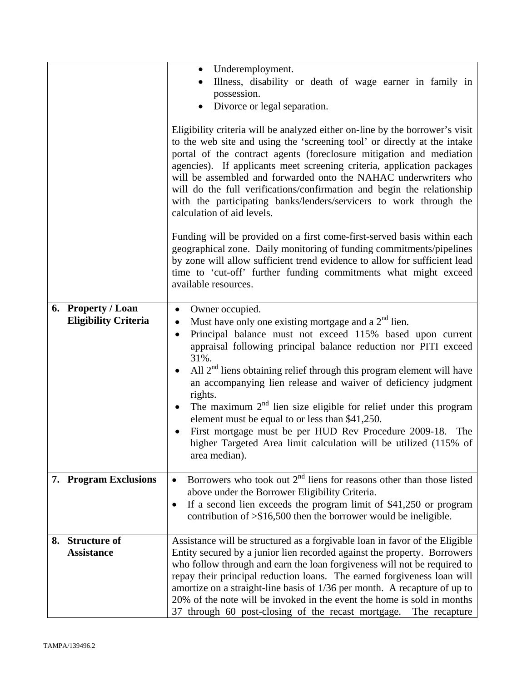|    |                                                   | Underemployment.<br>$\bullet$<br>Illness, disability or death of wage earner in family in<br>possession.<br>Divorce or legal separation.<br>Eligibility criteria will be analyzed either on-line by the borrower's visit<br>to the web site and using the 'screening tool' or directly at the intake<br>portal of the contract agents (foreclosure mitigation and mediation<br>agencies). If applicants meet screening criteria, application packages<br>will be assembled and forwarded onto the NAHAC underwriters who<br>will do the full verifications/confirmation and begin the relationship<br>with the participating banks/lenders/servicers to work through the<br>calculation of aid levels.   |
|----|---------------------------------------------------|----------------------------------------------------------------------------------------------------------------------------------------------------------------------------------------------------------------------------------------------------------------------------------------------------------------------------------------------------------------------------------------------------------------------------------------------------------------------------------------------------------------------------------------------------------------------------------------------------------------------------------------------------------------------------------------------------------|
|    |                                                   | Funding will be provided on a first come-first-served basis within each<br>geographical zone. Daily monitoring of funding commitments/pipelines<br>by zone will allow sufficient trend evidence to allow for sufficient lead<br>time to 'cut-off' further funding commitments what might exceed<br>available resources.                                                                                                                                                                                                                                                                                                                                                                                  |
|    | 6. Property / Loan<br><b>Eligibility Criteria</b> | Owner occupied.<br>$\bullet$<br>Must have only one existing mortgage and a $2nd$ lien.<br>$\bullet$<br>Principal balance must not exceed 115% based upon current<br>$\bullet$<br>appraisal following principal balance reduction nor PITI exceed<br>31%.<br>All $2nd$ liens obtaining relief through this program element will have<br>an accompanying lien release and waiver of deficiency judgment<br>rights.<br>The maximum $2nd$ lien size eligible for relief under this program<br>$\bullet$<br>element must be equal to or less than \$41,250.<br>First mortgage must be per HUD Rev Procedure 2009-18. The<br>higher Targeted Area limit calculation will be utilized (115% of<br>area median). |
|    | 7. Program Exclusions                             | Borrowers who took out $2nd$ liens for reasons other than those listed<br>$\bullet$<br>above under the Borrower Eligibility Criteria.<br>If a second lien exceeds the program limit of \$41,250 or program<br>$\bullet$<br>contribution of $\geq$ \$16,500 then the borrower would be ineligible.                                                                                                                                                                                                                                                                                                                                                                                                        |
| 8. | <b>Structure of</b><br><b>Assistance</b>          | Assistance will be structured as a forgivable loan in favor of the Eligible<br>Entity secured by a junior lien recorded against the property. Borrowers<br>who follow through and earn the loan forgiveness will not be required to<br>repay their principal reduction loans. The earned forgiveness loan will<br>amortize on a straight-line basis of 1/36 per month. A recapture of up to<br>20% of the note will be invoked in the event the home is sold in months<br>37 through 60 post-closing of the recast mortgage. The recapture                                                                                                                                                               |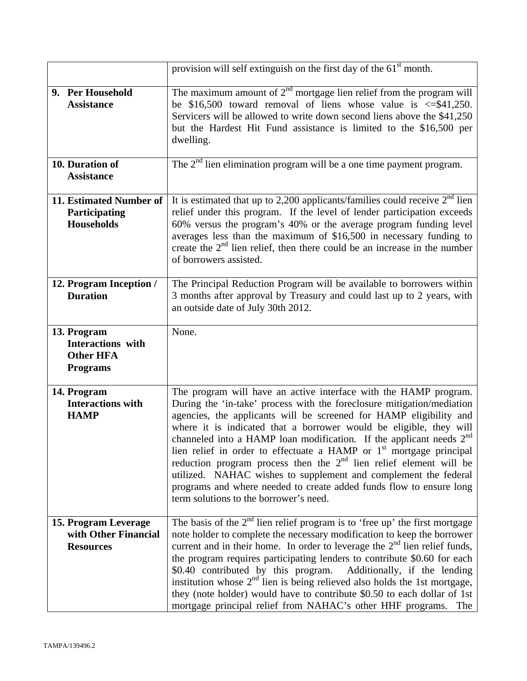|                                                                                | provision will self extinguish on the first day of the 61 <sup>st</sup> month.                                                                                                                                                                                                                                                                                                                                                                                                                                                                                                                                                                                                                                 |
|--------------------------------------------------------------------------------|----------------------------------------------------------------------------------------------------------------------------------------------------------------------------------------------------------------------------------------------------------------------------------------------------------------------------------------------------------------------------------------------------------------------------------------------------------------------------------------------------------------------------------------------------------------------------------------------------------------------------------------------------------------------------------------------------------------|
| 9. Per Household<br><b>Assistance</b>                                          | The maximum amount of $2nd$ mortgage lien relief from the program will<br>be \$16,500 toward removal of liens whose value is $\leq$ \$41,250.<br>Servicers will be allowed to write down second liens above the \$41,250<br>but the Hardest Hit Fund assistance is limited to the \$16,500 per<br>dwelling.                                                                                                                                                                                                                                                                                                                                                                                                    |
| 10. Duration of<br><b>Assistance</b>                                           | The $2nd$ lien elimination program will be a one time payment program.                                                                                                                                                                                                                                                                                                                                                                                                                                                                                                                                                                                                                                         |
| 11. Estimated Number of<br>Participating<br><b>Households</b>                  | It is estimated that up to 2,200 applicants/families could receive $2nd$ lien<br>relief under this program. If the level of lender participation exceeds<br>60% versus the program's 40% or the average program funding level<br>averages less than the maximum of \$16,500 in necessary funding to<br>create the $2nd$ lien relief, then there could be an increase in the number<br>of borrowers assisted.                                                                                                                                                                                                                                                                                                   |
| 12. Program Inception /<br><b>Duration</b>                                     | The Principal Reduction Program will be available to borrowers within<br>3 months after approval by Treasury and could last up to 2 years, with<br>an outside date of July 30th 2012.                                                                                                                                                                                                                                                                                                                                                                                                                                                                                                                          |
| 13. Program<br><b>Interactions</b> with<br><b>Other HFA</b><br><b>Programs</b> | None.                                                                                                                                                                                                                                                                                                                                                                                                                                                                                                                                                                                                                                                                                                          |
| 14. Program<br><b>Interactions with</b><br><b>HAMP</b>                         | The program will have an active interface with the HAMP program.<br>During the 'in-take' process with the foreclosure mitigation/mediation<br>agencies, the applicants will be screened for HAMP eligibility and<br>where it is indicated that a borrower would be eligible, they will<br>channeled into a HAMP loan modification. If the applicant needs 2 <sup>nd</sup><br>lien relief in order to effectuate a HAMP or $1st$ mortgage principal<br>reduction program process then the $2nd$ lien relief element will be<br>utilized. NAHAC wishes to supplement and complement the federal<br>programs and where needed to create added funds flow to ensure long<br>term solutions to the borrower's need. |
| 15. Program Leverage<br>with Other Financial<br><b>Resources</b>               | The basis of the $2nd$ lien relief program is to 'free up' the first mortgage<br>note holder to complete the necessary modification to keep the borrower<br>current and in their home. In order to leverage the $2nd$ lien relief funds,<br>the program requires participating lenders to contribute \$0.60 for each<br>\$0.40 contributed by this program.<br>Additionally, if the lending<br>institution whose $2nd$ lien is being relieved also holds the 1st mortgage,<br>they (note holder) would have to contribute \$0.50 to each dollar of 1st<br>mortgage principal relief from NAHAC's other HHF programs.<br>The                                                                                    |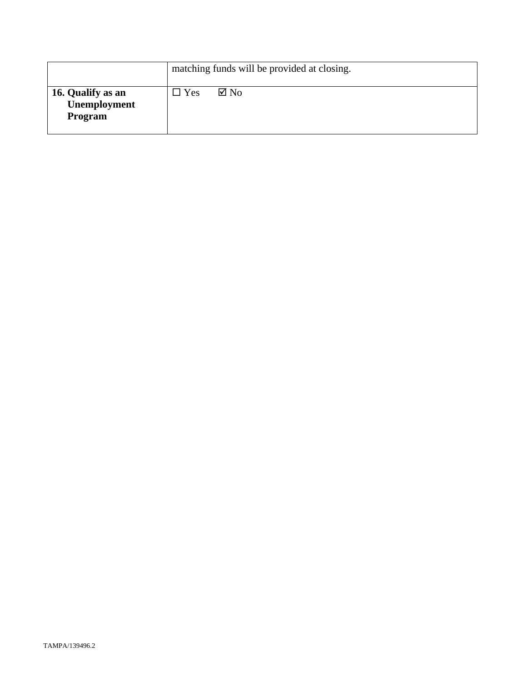|                                                     | matching funds will be provided at closing. |
|-----------------------------------------------------|---------------------------------------------|
| 16. Qualify as an<br>Unemployment<br><b>Program</b> | $\boxtimes$ No<br>$\Box$ Yes                |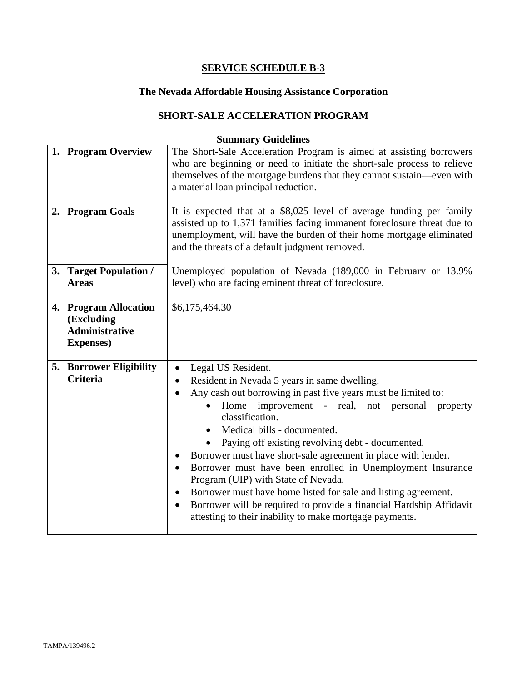# **The Nevada Affordable Housing Assistance Corporation**

# **SHORT-SALE ACCELERATION PROGRAM**

| 1. Program Overview                                                               | The Short-Sale Acceleration Program is aimed at assisting borrowers<br>who are beginning or need to initiate the short-sale process to relieve<br>themselves of the mortgage burdens that they cannot sustain—even with<br>a material loan principal reduction.                                                                                                                                                                                                                                                                                                                                                                                                                                                       |
|-----------------------------------------------------------------------------------|-----------------------------------------------------------------------------------------------------------------------------------------------------------------------------------------------------------------------------------------------------------------------------------------------------------------------------------------------------------------------------------------------------------------------------------------------------------------------------------------------------------------------------------------------------------------------------------------------------------------------------------------------------------------------------------------------------------------------|
| 2. Program Goals                                                                  | It is expected that at a \$8,025 level of average funding per family<br>assisted up to 1,371 families facing immanent foreclosure threat due to<br>unemployment, will have the burden of their home mortgage eliminated<br>and the threats of a default judgment removed.                                                                                                                                                                                                                                                                                                                                                                                                                                             |
| 3. Target Population /<br><b>Areas</b>                                            | Unemployed population of Nevada (189,000 in February or 13.9%<br>level) who are facing eminent threat of foreclosure.                                                                                                                                                                                                                                                                                                                                                                                                                                                                                                                                                                                                 |
| 4. Program Allocation<br>(Excluding<br><b>Administrative</b><br><b>Expenses</b> ) | \$6,175,464.30                                                                                                                                                                                                                                                                                                                                                                                                                                                                                                                                                                                                                                                                                                        |
| <b>5. Borrower Eligibility</b><br><b>Criteria</b>                                 | Legal US Resident.<br>Resident in Nevada 5 years in same dwelling.<br>Any cash out borrowing in past five years must be limited to:<br>improvement - real, not<br>Home<br>personal<br>property<br>classification.<br>Medical bills - documented.<br>Paying off existing revolving debt - documented.<br>Borrower must have short-sale agreement in place with lender.<br>Borrower must have been enrolled in Unemployment Insurance<br>$\bullet$<br>Program (UIP) with State of Nevada.<br>Borrower must have home listed for sale and listing agreement.<br>$\bullet$<br>Borrower will be required to provide a financial Hardship Affidavit<br>$\bullet$<br>attesting to their inability to make mortgage payments. |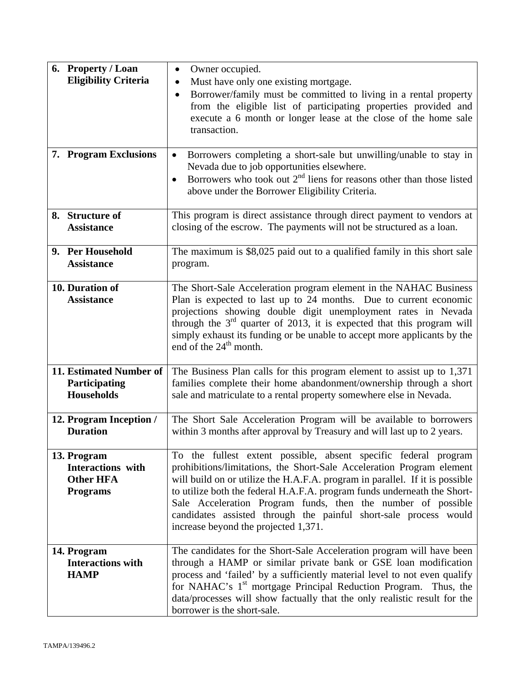| 6. Property / Loan                    | Owner occupied.<br>$\bullet$                                                                                                                             |  |
|---------------------------------------|----------------------------------------------------------------------------------------------------------------------------------------------------------|--|
| <b>Eligibility Criteria</b>           | Must have only one existing mortgage.                                                                                                                    |  |
|                                       | Borrower/family must be committed to living in a rental property<br>$\bullet$                                                                            |  |
|                                       | from the eligible list of participating properties provided and                                                                                          |  |
|                                       | execute a 6 month or longer lease at the close of the home sale<br>transaction.                                                                          |  |
|                                       |                                                                                                                                                          |  |
| 7. Program Exclusions                 | Borrowers completing a short-sale but unwilling/unable to stay in<br>$\bullet$                                                                           |  |
|                                       | Nevada due to job opportunities elsewhere.                                                                                                               |  |
|                                       | Borrowers who took out $2nd$ liens for reasons other than those listed<br>$\bullet$                                                                      |  |
|                                       | above under the Borrower Eligibility Criteria.                                                                                                           |  |
| 8. Structure of                       | This program is direct assistance through direct payment to vendors at                                                                                   |  |
| <b>Assistance</b>                     | closing of the escrow. The payments will not be structured as a loan.                                                                                    |  |
|                                       |                                                                                                                                                          |  |
| 9. Per Household<br><b>Assistance</b> | The maximum is \$8,025 paid out to a qualified family in this short sale                                                                                 |  |
|                                       | program.                                                                                                                                                 |  |
| 10. Duration of                       | The Short-Sale Acceleration program element in the NAHAC Business                                                                                        |  |
| <b>Assistance</b>                     | Plan is expected to last up to 24 months. Due to current economic                                                                                        |  |
|                                       | projections showing double digit unemployment rates in Nevada                                                                                            |  |
|                                       | through the $3rd$ quarter of 2013, it is expected that this program will<br>simply exhaust its funding or be unable to accept more applicants by the     |  |
|                                       | end of the $24th$ month.                                                                                                                                 |  |
|                                       |                                                                                                                                                          |  |
| 11. Estimated Number of               | The Business Plan calls for this program element to assist up to 1,371                                                                                   |  |
| Participating<br><b>Households</b>    | families complete their home abandonment/ownership through a short                                                                                       |  |
|                                       | sale and matriculate to a rental property somewhere else in Nevada.                                                                                      |  |
| 12. Program Inception /               | The Short Sale Acceleration Program will be available to borrowers                                                                                       |  |
| <b>Duration</b>                       | within 3 months after approval by Treasury and will last up to 2 years.                                                                                  |  |
|                                       |                                                                                                                                                          |  |
| 13. Program<br>Interactions with      | To the fullest extent possible, absent specific federal program<br>prohibitions/limitations, the Short-Sale Acceleration Program element                 |  |
| <b>Other HFA</b>                      | will build on or utilize the H.A.F.A. program in parallel. If it is possible                                                                             |  |
| <b>Programs</b>                       | to utilize both the federal H.A.F.A. program funds underneath the Short-                                                                                 |  |
|                                       | Sale Acceleration Program funds, then the number of possible                                                                                             |  |
|                                       | candidates assisted through the painful short-sale process would<br>increase beyond the projected 1,371.                                                 |  |
|                                       |                                                                                                                                                          |  |
| 14. Program                           | The candidates for the Short-Sale Acceleration program will have been                                                                                    |  |
| <b>Interactions with</b>              | through a HAMP or similar private bank or GSE loan modification                                                                                          |  |
| <b>HAMP</b>                           | process and 'failed' by a sufficiently material level to not even qualify<br>for NAHAC's 1 <sup>st</sup> mortgage Principal Reduction Program. Thus, the |  |
|                                       | data/processes will show factually that the only realistic result for the                                                                                |  |
|                                       | borrower is the short-sale.                                                                                                                              |  |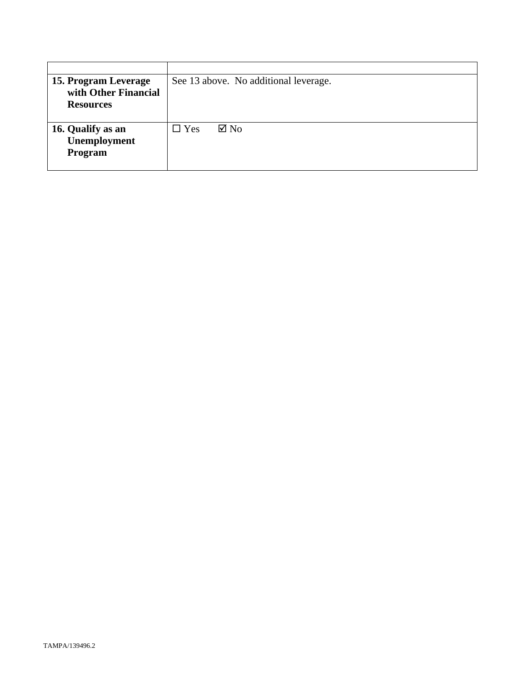| 15. Program Leverage | See 13 above. No additional leverage. |  |
|----------------------|---------------------------------------|--|
| with Other Financial |                                       |  |
| <b>Resources</b>     |                                       |  |
|                      |                                       |  |
| 16. Qualify as an    | $\boxtimes$ No<br>$\Box$ Yes          |  |
| <b>Unemployment</b>  |                                       |  |
| Program              |                                       |  |
|                      |                                       |  |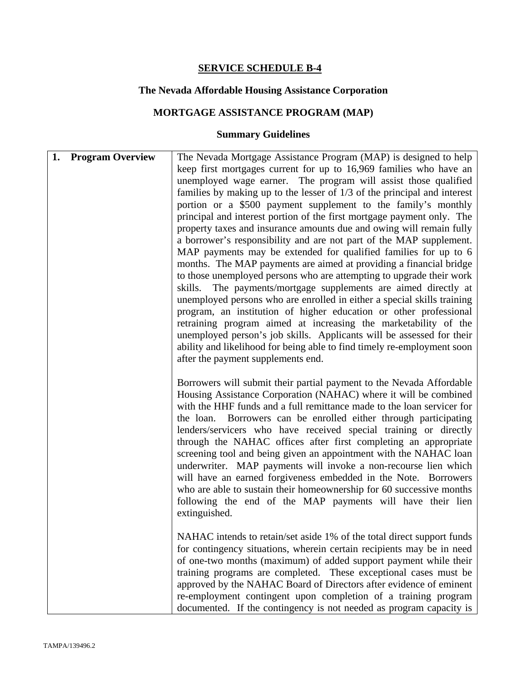# **The Nevada Affordable Housing Assistance Corporation**

# **MORTGAGE ASSISTANCE PROGRAM (MAP)**

| <b>Program Overview</b><br>1. | The Nevada Mortgage Assistance Program (MAP) is designed to help<br>keep first mortgages current for up to 16,969 families who have an<br>unemployed wage earner. The program will assist those qualified<br>families by making up to the lesser of $1/3$ of the principal and interest<br>portion or a \$500 payment supplement to the family's monthly<br>principal and interest portion of the first mortgage payment only. The<br>property taxes and insurance amounts due and owing will remain fully<br>a borrower's responsibility and are not part of the MAP supplement.<br>MAP payments may be extended for qualified families for up to 6<br>months. The MAP payments are aimed at providing a financial bridge<br>to those unemployed persons who are attempting to upgrade their work<br>The payments/mortgage supplements are aimed directly at<br>skills.<br>unemployed persons who are enrolled in either a special skills training<br>program, an institution of higher education or other professional<br>retraining program aimed at increasing the marketability of the<br>unemployed person's job skills. Applicants will be assessed for their<br>ability and likelihood for being able to find timely re-employment soon<br>after the payment supplements end. |
|-------------------------------|---------------------------------------------------------------------------------------------------------------------------------------------------------------------------------------------------------------------------------------------------------------------------------------------------------------------------------------------------------------------------------------------------------------------------------------------------------------------------------------------------------------------------------------------------------------------------------------------------------------------------------------------------------------------------------------------------------------------------------------------------------------------------------------------------------------------------------------------------------------------------------------------------------------------------------------------------------------------------------------------------------------------------------------------------------------------------------------------------------------------------------------------------------------------------------------------------------------------------------------------------------------------------------------|
|                               | Borrowers will submit their partial payment to the Nevada Affordable<br>Housing Assistance Corporation (NAHAC) where it will be combined<br>with the HHF funds and a full remittance made to the loan servicer for<br>the loan. Borrowers can be enrolled either through participating<br>lenders/servicers who have received special training or directly<br>through the NAHAC offices after first completing an appropriate<br>screening tool and being given an appointment with the NAHAC loan<br>underwriter. MAP payments will invoke a non-recourse lien which<br>will have an earned forgiveness embedded in the Note. Borrowers<br>who are able to sustain their homeownership for 60 successive months<br>following the end of the MAP payments will have their lien<br>extinguished.                                                                                                                                                                                                                                                                                                                                                                                                                                                                                       |
|                               | NAHAC intends to retain/set aside 1% of the total direct support funds<br>for contingency situations, wherein certain recipients may be in need<br>of one-two months (maximum) of added support payment while their<br>training programs are completed. These exceptional cases must be<br>approved by the NAHAC Board of Directors after evidence of eminent<br>re-employment contingent upon completion of a training program<br>documented. If the contingency is not needed as program capacity is                                                                                                                                                                                                                                                                                                                                                                                                                                                                                                                                                                                                                                                                                                                                                                                |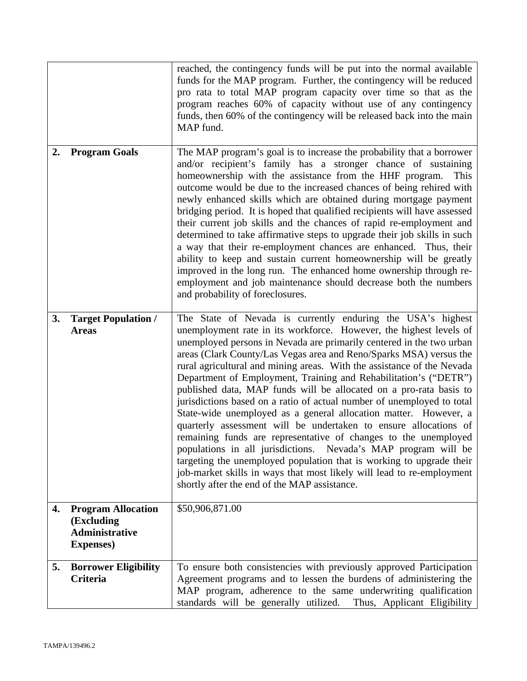|    |                                                                                       | reached, the contingency funds will be put into the normal available<br>funds for the MAP program. Further, the contingency will be reduced<br>pro rata to total MAP program capacity over time so that as the<br>program reaches 60% of capacity without use of any contingency<br>funds, then 60% of the contingency will be released back into the main<br>MAP fund.                                                                                                                                                                                                                                                                                                                                                                                                                                                                                                                                                                                                                                                                                     |
|----|---------------------------------------------------------------------------------------|-------------------------------------------------------------------------------------------------------------------------------------------------------------------------------------------------------------------------------------------------------------------------------------------------------------------------------------------------------------------------------------------------------------------------------------------------------------------------------------------------------------------------------------------------------------------------------------------------------------------------------------------------------------------------------------------------------------------------------------------------------------------------------------------------------------------------------------------------------------------------------------------------------------------------------------------------------------------------------------------------------------------------------------------------------------|
| 2. | <b>Program Goals</b>                                                                  | The MAP program's goal is to increase the probability that a borrower<br>and/or recipient's family has a stronger chance of sustaining<br>homeownership with the assistance from the HHF program.<br>This<br>outcome would be due to the increased chances of being rehired with<br>newly enhanced skills which are obtained during mortgage payment<br>bridging period. It is hoped that qualified recipients will have assessed<br>their current job skills and the chances of rapid re-employment and<br>determined to take affirmative steps to upgrade their job skills in such<br>a way that their re-employment chances are enhanced. Thus, their<br>ability to keep and sustain current homeownership will be greatly<br>improved in the long run. The enhanced home ownership through re-<br>employment and job maintenance should decrease both the numbers<br>and probability of foreclosures.                                                                                                                                                   |
| 3. | <b>Target Population /</b><br><b>Areas</b>                                            | The State of Nevada is currently enduring the USA's highest<br>unemployment rate in its workforce. However, the highest levels of<br>unemployed persons in Nevada are primarily centered in the two urban<br>areas (Clark County/Las Vegas area and Reno/Sparks MSA) versus the<br>rural agricultural and mining areas. With the assistance of the Nevada<br>Department of Employment, Training and Rehabilitation's ("DETR")<br>published data, MAP funds will be allocated on a pro-rata basis to<br>jurisdictions based on a ratio of actual number of unemployed to total<br>State-wide unemployed as a general allocation matter. However, a<br>quarterly assessment will be undertaken to ensure allocations of<br>remaining funds are representative of changes to the unemployed<br>populations in all jurisdictions. Nevada's MAP program will be<br>targeting the unemployed population that is working to upgrade their<br>job-market skills in ways that most likely will lead to re-employment<br>shortly after the end of the MAP assistance. |
| 4. | <b>Program Allocation</b><br>(Excluding<br><b>Administrative</b><br><b>Expenses</b> ) | \$50,906,871.00                                                                                                                                                                                                                                                                                                                                                                                                                                                                                                                                                                                                                                                                                                                                                                                                                                                                                                                                                                                                                                             |
| 5. | <b>Borrower Eligibility</b><br><b>Criteria</b>                                        | To ensure both consistencies with previously approved Participation<br>Agreement programs and to lessen the burdens of administering the<br>MAP program, adherence to the same underwriting qualification<br>standards will be generally utilized.<br>Thus, Applicant Eligibility                                                                                                                                                                                                                                                                                                                                                                                                                                                                                                                                                                                                                                                                                                                                                                           |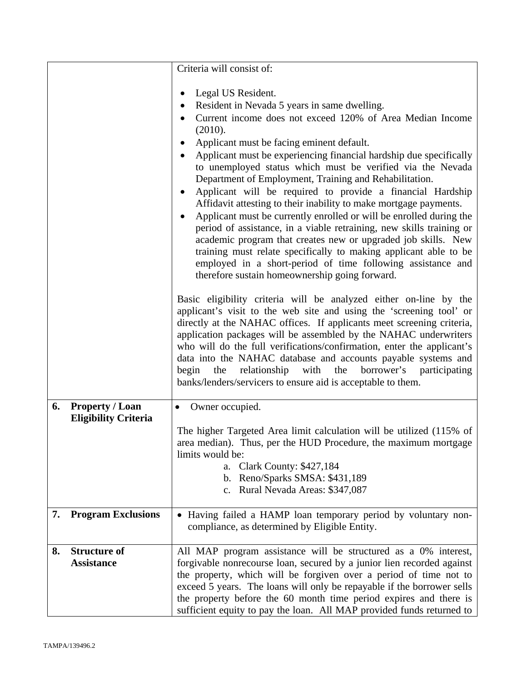|    |                                                       | Criteria will consist of:                                                                                                                                                                                                                                                                                                                                                                                                                                                                                                                                                      |  |
|----|-------------------------------------------------------|--------------------------------------------------------------------------------------------------------------------------------------------------------------------------------------------------------------------------------------------------------------------------------------------------------------------------------------------------------------------------------------------------------------------------------------------------------------------------------------------------------------------------------------------------------------------------------|--|
|    |                                                       |                                                                                                                                                                                                                                                                                                                                                                                                                                                                                                                                                                                |  |
|    |                                                       | Legal US Resident.                                                                                                                                                                                                                                                                                                                                                                                                                                                                                                                                                             |  |
|    |                                                       | Resident in Nevada 5 years in same dwelling.                                                                                                                                                                                                                                                                                                                                                                                                                                                                                                                                   |  |
|    |                                                       | Current income does not exceed 120% of Area Median Income                                                                                                                                                                                                                                                                                                                                                                                                                                                                                                                      |  |
|    |                                                       | (2010).                                                                                                                                                                                                                                                                                                                                                                                                                                                                                                                                                                        |  |
|    |                                                       | Applicant must be facing eminent default.                                                                                                                                                                                                                                                                                                                                                                                                                                                                                                                                      |  |
|    |                                                       | Applicant must be experiencing financial hardship due specifically<br>$\bullet$<br>to unemployed status which must be verified via the Nevada<br>Department of Employment, Training and Rehabilitation.<br>Applicant will be required to provide a financial Hardship<br>Affidavit attesting to their inability to make mortgage payments.<br>Applicant must be currently enrolled or will be enrolled during the<br>$\bullet$<br>period of assistance, in a viable retraining, new skills training or                                                                         |  |
|    |                                                       | academic program that creates new or upgraded job skills. New<br>training must relate specifically to making applicant able to be<br>employed in a short-period of time following assistance and<br>therefore sustain homeownership going forward.                                                                                                                                                                                                                                                                                                                             |  |
|    |                                                       | Basic eligibility criteria will be analyzed either on-line by the<br>applicant's visit to the web site and using the 'screening tool' or<br>directly at the NAHAC offices. If applicants meet screening criteria,<br>application packages will be assembled by the NAHAC underwriters<br>who will do the full verifications/confirmation, enter the applicant's<br>data into the NAHAC database and accounts payable systems and<br>borrower's<br>begin<br>the<br>relationship<br>with<br>the<br>participating<br>banks/lenders/servicers to ensure aid is acceptable to them. |  |
| 6. | <b>Property / Loan</b><br><b>Eligibility Criteria</b> | Owner occupied.<br>$\bullet$                                                                                                                                                                                                                                                                                                                                                                                                                                                                                                                                                   |  |
|    |                                                       | The higher Targeted Area limit calculation will be utilized (115% of<br>area median). Thus, per the HUD Procedure, the maximum mortgage<br>limits would be:<br>a. Clark County: \$427,184<br>b. Reno/Sparks SMSA: \$431,189<br>c. Rural Nevada Areas: \$347,087                                                                                                                                                                                                                                                                                                                |  |
| 7. | <b>Program Exclusions</b>                             | • Having failed a HAMP loan temporary period by voluntary non-<br>compliance, as determined by Eligible Entity.                                                                                                                                                                                                                                                                                                                                                                                                                                                                |  |
| 8. | <b>Structure of</b><br><b>Assistance</b>              | All MAP program assistance will be structured as a 0% interest,<br>forgivable nonrecourse loan, secured by a junior lien recorded against<br>the property, which will be forgiven over a period of time not to<br>exceed 5 years. The loans will only be repayable if the borrower sells<br>the property before the 60 month time period expires and there is<br>sufficient equity to pay the loan. All MAP provided funds returned to                                                                                                                                         |  |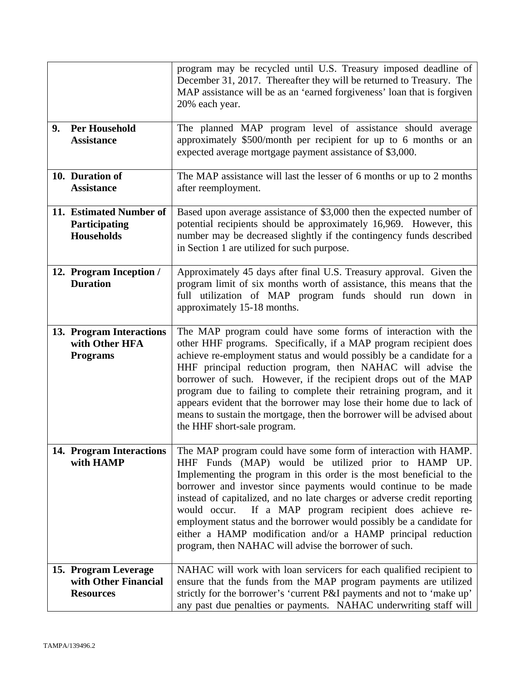|    |                                                                  | program may be recycled until U.S. Treasury imposed deadline of<br>December 31, 2017. Thereafter they will be returned to Treasury. The<br>MAP assistance will be as an 'earned forgiveness' loan that is forgiven<br>20% each year.                                                                                                                                                                                                                                                                                                                                                                       |  |
|----|------------------------------------------------------------------|------------------------------------------------------------------------------------------------------------------------------------------------------------------------------------------------------------------------------------------------------------------------------------------------------------------------------------------------------------------------------------------------------------------------------------------------------------------------------------------------------------------------------------------------------------------------------------------------------------|--|
| 9. | <b>Per Household</b><br><b>Assistance</b>                        | The planned MAP program level of assistance should average<br>approximately \$500/month per recipient for up to 6 months or an<br>expected average mortgage payment assistance of \$3,000.                                                                                                                                                                                                                                                                                                                                                                                                                 |  |
|    | 10. Duration of<br><b>Assistance</b>                             | The MAP assistance will last the lesser of 6 months or up to 2 months<br>after reemployment.                                                                                                                                                                                                                                                                                                                                                                                                                                                                                                               |  |
|    | 11. Estimated Number of<br>Participating<br><b>Households</b>    | Based upon average assistance of \$3,000 then the expected number of<br>potential recipients should be approximately 16,969. However, this<br>number may be decreased slightly if the contingency funds described<br>in Section 1 are utilized for such purpose.                                                                                                                                                                                                                                                                                                                                           |  |
|    | 12. Program Inception /<br><b>Duration</b>                       | Approximately 45 days after final U.S. Treasury approval. Given the<br>program limit of six months worth of assistance, this means that the<br>full utilization of MAP program funds should run down in<br>approximately 15-18 months.                                                                                                                                                                                                                                                                                                                                                                     |  |
|    | 13. Program Interactions<br>with Other HFA<br><b>Programs</b>    | The MAP program could have some forms of interaction with the<br>other HHF programs. Specifically, if a MAP program recipient does<br>achieve re-employment status and would possibly be a candidate for a<br>HHF principal reduction program, then NAHAC will advise the<br>borrower of such. However, if the recipient drops out of the MAP<br>program due to failing to complete their retraining program, and it<br>appears evident that the borrower may lose their home due to lack of<br>means to sustain the mortgage, then the borrower will be advised about<br>the HHF short-sale program.      |  |
|    | 14. Program Interactions<br>with HAMP                            | The MAP program could have some form of interaction with HAMP.<br>HHF Funds (MAP) would be utilized prior to HAMP UP.<br>Implementing the program in this order is the most beneficial to the<br>borrower and investor since payments would continue to be made<br>instead of capitalized, and no late charges or adverse credit reporting<br>If a MAP program recipient does achieve re-<br>would occur.<br>employment status and the borrower would possibly be a candidate for<br>either a HAMP modification and/or a HAMP principal reduction<br>program, then NAHAC will advise the borrower of such. |  |
|    | 15. Program Leverage<br>with Other Financial<br><b>Resources</b> | NAHAC will work with loan servicers for each qualified recipient to<br>ensure that the funds from the MAP program payments are utilized<br>strictly for the borrower's 'current P&I payments and not to 'make up'<br>any past due penalties or payments. NAHAC underwriting staff will                                                                                                                                                                                                                                                                                                                     |  |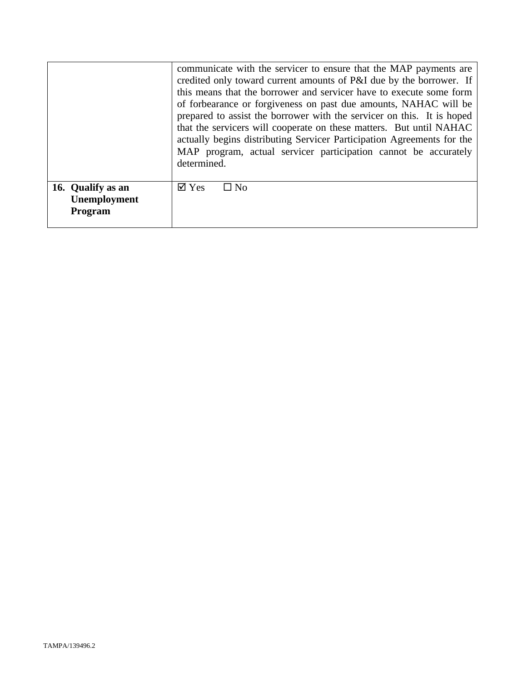|                                                     | communicate with the servicer to ensure that the MAP payments are<br>credited only toward current amounts of P&I due by the borrower. If<br>this means that the borrower and servicer have to execute some form<br>of forbearance or forgiveness on past due amounts, NAHAC will be<br>prepared to assist the borrower with the servicer on this. It is hoped<br>that the servicers will cooperate on these matters. But until NAHAC<br>actually begins distributing Servicer Participation Agreements for the<br>MAP program, actual servicer participation cannot be accurately<br>determined. |  |
|-----------------------------------------------------|--------------------------------------------------------------------------------------------------------------------------------------------------------------------------------------------------------------------------------------------------------------------------------------------------------------------------------------------------------------------------------------------------------------------------------------------------------------------------------------------------------------------------------------------------------------------------------------------------|--|
| 16. Qualify as an<br>Unemployment<br><b>Program</b> | $\overline{\mathsf{d}}$ Yes<br>$\square$ No                                                                                                                                                                                                                                                                                                                                                                                                                                                                                                                                                      |  |